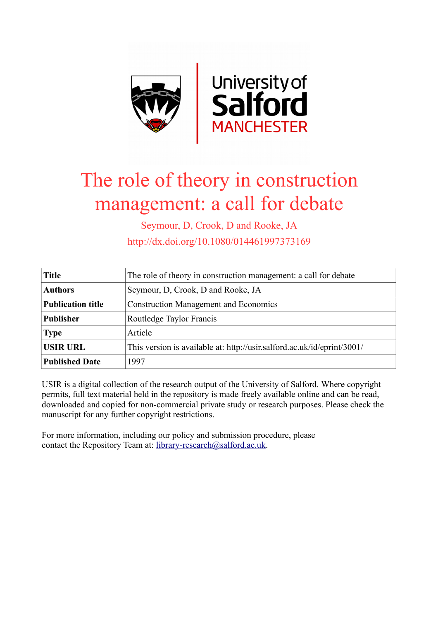

## The role of theory in construction management: a call for debate

Seymour, D, Crook, D and Rooke, JA http://dx.doi.org/10.1080/014461997373169

| <b>Title</b>             | The role of theory in construction management: a call for debate        |
|--------------------------|-------------------------------------------------------------------------|
| <b>Authors</b>           | Seymour, D, Crook, D and Rooke, JA                                      |
| <b>Publication title</b> | <b>Construction Management and Economics</b>                            |
| <b>Publisher</b>         | Routledge Taylor Francis                                                |
| <b>Type</b>              | Article                                                                 |
| <b>USIR URL</b>          | This version is available at: http://usir.salford.ac.uk/id/eprint/3001/ |
| <b>Published Date</b>    | 1997                                                                    |

USIR is a digital collection of the research output of the University of Salford. Where copyright permits, full text material held in the repository is made freely available online and can be read, downloaded and copied for non-commercial private study or research purposes. Please check the manuscript for any further copyright restrictions.

For more information, including our policy and submission procedure, please contact the Repository Team at: [library-research@salford.ac.uk.](mailto:library-research@salford.ac.uk)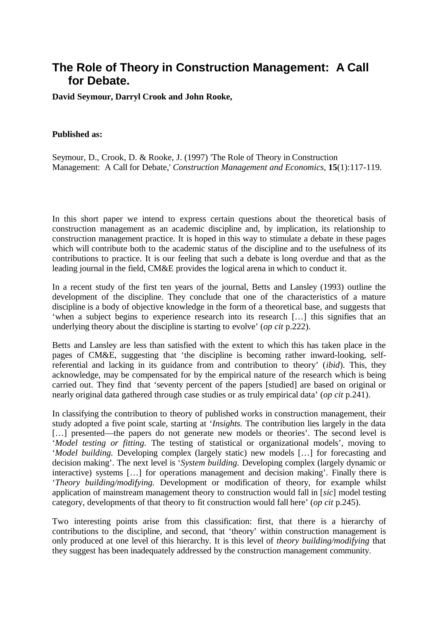## **The Role of Theory in Construction Management: A Call for Debate.**

**David Seymour, Darryl Crook and John Rooke,** 

## **Published as:**

Seymour, D., Crook, D. & Rooke, J. (1997) 'The Role of Theory in Construction Management: A Call for Debate,' *Construction Management and Economics,* **15**(1):117-119.

In this short paper we intend to express certain questions about the theoretical basis of construction management as an academic discipline and, by implication, its relationship to construction management practice. It is hoped in this way to stimulate a debate in these pages which will contribute both to the academic status of the discipline and to the usefulness of its contributions to practice. It is our feeling that such a debate is long overdue and that as the leading journal in the field, CM&E provides the logical arena in which to conduct it.

In a recent study of the first ten years of the journal, Betts and Lansley (1993) outline the development of the discipline. They conclude that one of the characteristics of a mature discipline is a body of objective knowledge in the form of a theoretical base, and suggests that 'when a subject begins to experience research into its research […] this signifies that an underlying theory about the discipline is starting to evolve' (*op cit* p.222).

Betts and Lansley are less than satisfied with the extent to which this has taken place in the pages of CM&E, suggesting that 'the discipline is becoming rather inward-looking, selfreferential and lacking in its guidance from and contribution to theory' (*ibid*). This, they acknowledge, may be compensated for by the empirical nature of the research which is being carried out. They find that 'seventy percent of the papers [studied] are based on original or nearly original data gathered through case studies or as truly empirical data' (*op cit* p.241).

In classifying the contribution to theory of published works in construction management, their study adopted a five point scale, starting at '*Insights.* The contribution lies largely in the data [...] presented—the papers do not generate new models or theories'. The second level is '*Model testing or fitting.* The testing of statistical or organizational models', moving to '*Model building.* Developing complex (largely static) new models […] for forecasting and decision making'. The next level is '*System building.* Developing complex (largely dynamic or interactive) systems […] for operations management and decision making'. Finally there is '*Theory building/modifying.* Development or modification of theory, for example whilst application of mainstream management theory to construction would fall in [*sic*] model testing category, developments of that theory to fit construction would fall here' (*op cit* p.245).

Two interesting points arise from this classification: first, that there is a hierarchy of contributions to the discipline, and second, that 'theory' within construction management is only produced at one level of this hierarchy. It is this level of *theory building/modifying* that they suggest has been inadequately addressed by the construction management community.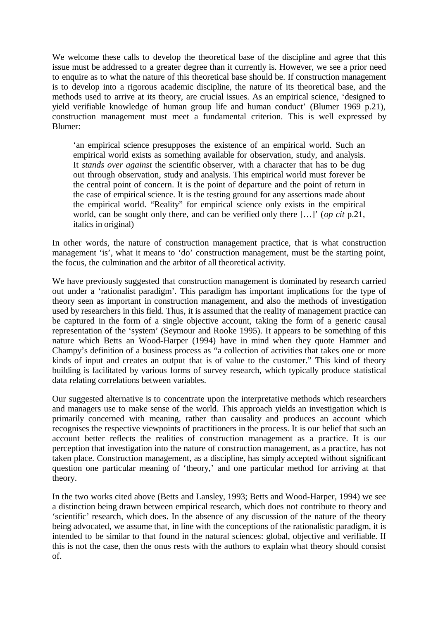We welcome these calls to develop the theoretical base of the discipline and agree that this issue must be addressed to a greater degree than it currently is. However, we see a prior need to enquire as to what the nature of this theoretical base should be. If construction management is to develop into a rigorous academic discipline, the nature of its theoretical base, and the methods used to arrive at its theory, are crucial issues. As an empirical science, 'designed to yield verifiable knowledge of human group life and human conduct' (Blumer 1969 p.21), construction management must meet a fundamental criterion. This is well expressed by Blumer:

'an empirical science presupposes the existence of an empirical world. Such an empirical world exists as something available for observation, study, and analysis. It *stands over against* the scientific observer, with a character that has to be dug out through observation, study and analysis. This empirical world must forever be the central point of concern. It is the point of departure and the point of return in the case of empirical science. It is the testing ground for any assertions made about the empirical world. "Reality" for empirical science only exists in the empirical world, can be sought only there, and can be verified only there […]' (*op cit* p.21, italics in original)

In other words, the nature of construction management practice, that is what construction management 'is', what it means to 'do' construction management, must be the starting point, the focus, the culmination and the arbitor of all theoretical activity.

We have previously suggested that construction management is dominated by research carried out under a 'rationalist paradigm'. This paradigm has important implications for the type of theory seen as important in construction management, and also the methods of investigation used by researchers in this field. Thus, it is assumed that the reality of management practice can be captured in the form of a single objective account, taking the form of a generic causal representation of the 'system' (Seymour and Rooke 1995). It appears to be something of this nature which Betts an Wood-Harper (1994) have in mind when they quote Hammer and Champy's definition of a business process as "a collection of activities that takes one or more kinds of input and creates an output that is of value to the customer." This kind of theory building is facilitated by various forms of survey research, which typically produce statistical data relating correlations between variables.

Our suggested alternative is to concentrate upon the interpretative methods which researchers and managers use to make sense of the world. This approach yields an investigation which is primarily concerned with meaning, rather than causality and produces an account which recognises the respective viewpoints of practitioners in the process. It is our belief that such an account better reflects the realities of construction management as a practice. It is our perception that investigation into the nature of construction management, as a practice, has not taken place. Construction management, as a discipline, has simply accepted without significant question one particular meaning of 'theory,' and one particular method for arriving at that theory.

In the two works cited above (Betts and Lansley, 1993; Betts and Wood-Harper, 1994) we see a distinction being drawn between empirical research, which does not contribute to theory and 'scientific' research, which does. In the absence of any discussion of the nature of the theory being advocated, we assume that, in line with the conceptions of the rationalistic paradigm, it is intended to be similar to that found in the natural sciences: global, objective and verifiable. If this is not the case, then the onus rests with the authors to explain what theory should consist of.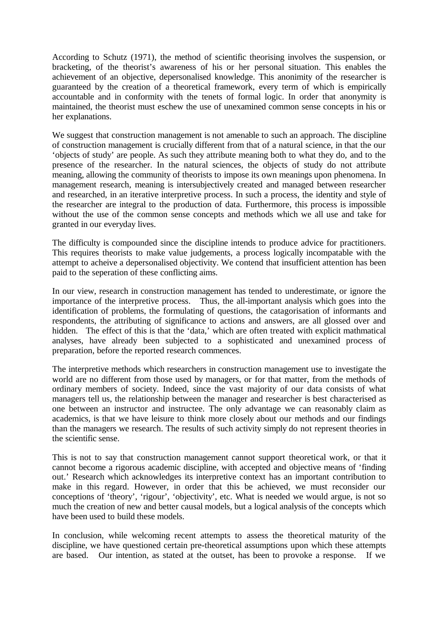According to Schutz (1971), the method of scientific theorising involves the suspension, or bracketing, of the theorist's awareness of his or her personal situation. This enables the achievement of an objective, depersonalised knowledge. This anonimity of the researcher is guaranteed by the creation of a theoretical framework, every term of which is empirically accountable and in conformity with the tenets of formal logic. In order that anonymity is maintained, the theorist must eschew the use of unexamined common sense concepts in his or her explanations.

We suggest that construction management is not amenable to such an approach. The discipline of construction management is crucially different from that of a natural science, in that the our 'objects of study' are people. As such they attribute meaning both to what they do, and to the presence of the researcher. In the natural sciences, the objects of study do not attribute meaning, allowing the community of theorists to impose its own meanings upon phenomena. In management research, meaning is intersubjectively created and managed between researcher and researched, in an iterative interpretive process. In such a process, the identity and style of the researcher are integral to the production of data. Furthermore, this process is impossible without the use of the common sense concepts and methods which we all use and take for granted in our everyday lives.

The difficulty is compounded since the discipline intends to produce advice for practitioners. This requires theorists to make value judgements, a process logically incompatable with the attempt to acheive a depersonalised objectivity. We contend that insufficient attention has been paid to the seperation of these conflicting aims.

In our view, research in construction management has tended to underestimate, or ignore the importance of the interpretive process. Thus, the all-important analysis which goes into the identification of problems, the formulating of questions, the catagorisation of informants and respondents, the attributing of significance to actions and answers, are all glossed over and hidden. The effect of this is that the 'data,' which are often treated with explicit mathmatical analyses, have already been subjected to a sophisticated and unexamined process of preparation, before the reported research commences.

The interpretive methods which researchers in construction management use to investigate the world are no different from those used by managers, or for that matter, from the methods of ordinary members of society. Indeed, since the vast majority of our data consists of what managers tell us, the relationship between the manager and researcher is best characterised as one between an instructor and instructee. The only advantage we can reasonably claim as academics, is that we have leisure to think more closely about our methods and our findings than the managers we research. The results of such activity simply do not represent theories in the scientific sense.

This is not to say that construction management cannot support theoretical work, or that it cannot become a rigorous academic discipline, with accepted and objective means of 'finding out.' Research which acknowledges its interpretive context has an important contribution to make in this regard. However, in order that this be achieved, we must reconsider our conceptions of 'theory', 'rigour', 'objectivity', etc. What is needed we would argue, is not so much the creation of new and better causal models, but a logical analysis of the concepts which have been used to build these models.

In conclusion, while welcoming recent attempts to assess the theoretical maturity of the discipline, we have questioned certain pre-theoretical assumptions upon which these attempts are based. Our intention, as stated at the outset, has been to provoke a response. If we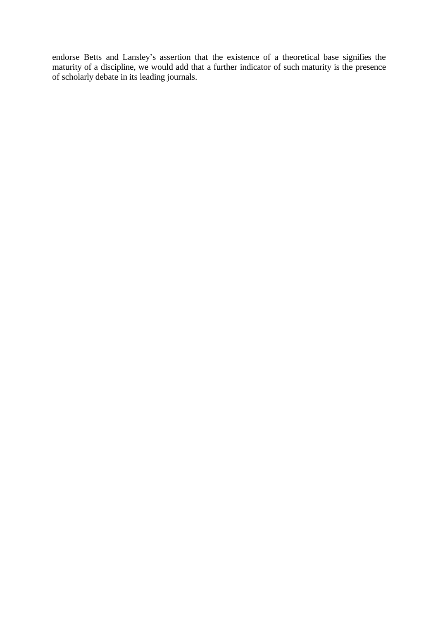endorse Betts and Lansley's assertion that the existence of a theoretical base signifies the maturity of a discipline, we would add that a further indicator of such maturity is the presence of scholarly debate in its leading journals.